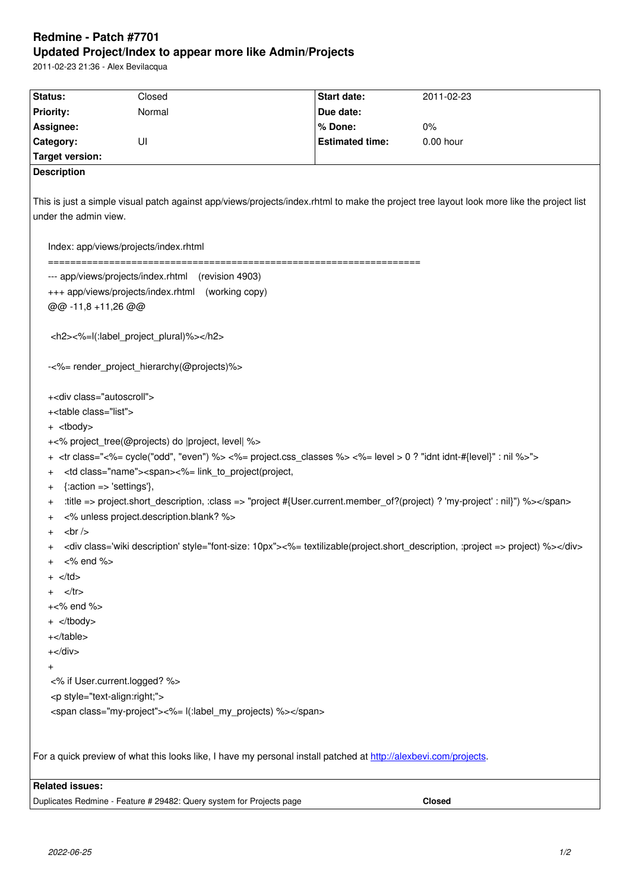#### **Updated Project/Index to appear more like Admin/Projects**

2011-02-23 21:36 - Alex Bevilacqua

| <b>Status:</b>                                                                                                                                                                 | Closed | Start date:            | 2011-02-23 |                                                                       |
|--------------------------------------------------------------------------------------------------------------------------------------------------------------------------------|--------|------------------------|------------|-----------------------------------------------------------------------|
| <b>Priority:</b>                                                                                                                                                               | Normal | Due date:              |            |                                                                       |
| Assignee:                                                                                                                                                                      |        | % Done:                | 0%         |                                                                       |
| Category:                                                                                                                                                                      | UI     | <b>Estimated time:</b> | 0.00 hour  |                                                                       |
| <b>Target version:</b>                                                                                                                                                         |        |                        |            |                                                                       |
| <b>Description</b>                                                                                                                                                             |        |                        |            |                                                                       |
|                                                                                                                                                                                |        |                        |            |                                                                       |
| This is just a simple visual patch against app/views/projects/index.rhtml to make the project tree layout look more like the project list                                      |        |                        |            |                                                                       |
| under the admin view.                                                                                                                                                          |        |                        |            |                                                                       |
|                                                                                                                                                                                |        |                        |            |                                                                       |
| Index: app/views/projects/index.rhtml                                                                                                                                          |        |                        |            |                                                                       |
| --- app/views/projects/index.rhtml (revision 4903)                                                                                                                             |        |                        |            |                                                                       |
| +++ app/views/projects/index.rhtml (working copy)                                                                                                                              |        |                        |            |                                                                       |
| @@ -11,8 +11,26 @@                                                                                                                                                             |        |                        |            |                                                                       |
|                                                                                                                                                                                |        |                        |            |                                                                       |
| <h2>&lt;%=l(:label_project_plural)%&gt;</h2>                                                                                                                                   |        |                        |            |                                                                       |
|                                                                                                                                                                                |        |                        |            |                                                                       |
| -<%= render_project_hierarchy(@projects)%>                                                                                                                                     |        |                        |            |                                                                       |
|                                                                                                                                                                                |        |                        |            |                                                                       |
| + <div class="autoscroll"></div>                                                                                                                                               |        |                        |            |                                                                       |
| + <table class="list"></table>                                                                                                                                                 |        |                        |            |                                                                       |
| + <tbody></tbody>                                                                                                                                                              |        |                        |            |                                                                       |
| +<% project_tree(@projects) do  project, level  %>                                                                                                                             |        |                        |            |                                                                       |
| <tr "even")="" %="" class="&lt;%= cycle(" odd",=""> &lt;%= project.css_classes %&gt; &lt;%= level &gt; 0 ? "idnt idnt-#{level}" : nil %&gt;"&gt;<br/><math>\pmb{+}</math></tr> |        |                        |            |                                                                       |
|                                                                                                                                                                                |        |                        |            |                                                                       |
| <td class="name"><span>&lt;%= link_to_project(project,<br/><math>\pmb{+}</math></span></td>                                                                                    |        |                        |            | <span>&lt;%= link_to_project(project,<br/><math>\pmb{+}</math></span> |
| $\{:\text{action} \Rightarrow \text{ 'settings'}\},\$<br>$\ddot{}$                                                                                                             |        |                        |            |                                                                       |
| :title => project.short_description, :class => "project #{User.current.member_of?(project) ? 'my-project' : nil}") %><br>$\ddot{}$                                             |        |                        |            |                                                                       |
| <% unless project.description.blank? %><br>$\,^+$                                                                                                                              |        |                        |            |                                                                       |
| br/<br>$\ddot{}$                                                                                                                                                               |        |                        |            |                                                                       |
| <div class="wiki description" style="font-size: 10px">&lt;%= textilizable(project.short_description, :project =&gt; project) %&gt;</div><br>$\pmb{+}$                          |        |                        |            |                                                                       |
| <% end %><br>$\ddot{}$                                                                                                                                                         |        |                        |            |                                                                       |
| $\langle t \, ds$                                                                                                                                                              |        |                        |            |                                                                       |
| $<$ /tr $>$                                                                                                                                                                    |        |                        |            |                                                                       |
| $+<\!\%$ end $\!\%$                                                                                                                                                            |        |                        |            |                                                                       |
| $+$                                                                                                                                                                            |        |                        |            |                                                                       |
| $+$                                                                                                                                                                            |        |                        |            |                                                                       |

| $+$ | | | |
| $\ddot{}$ | | | |
| <% if User.current.logged? %> | | | |
|  | | | |
|  | | | |
| <%= l(:label\_my\_projects) %> | | | |
|  | | | |
|  | | | |
| For a quick preview of what this looks like, I have my personal install patched at http://alexbevi.com/projects. | | | |
| **Related issues:** | | | |
| Duplicates Redmine - Feature # 29482: Query system for Projects page | | | |
|  |  |  | **Closed** |